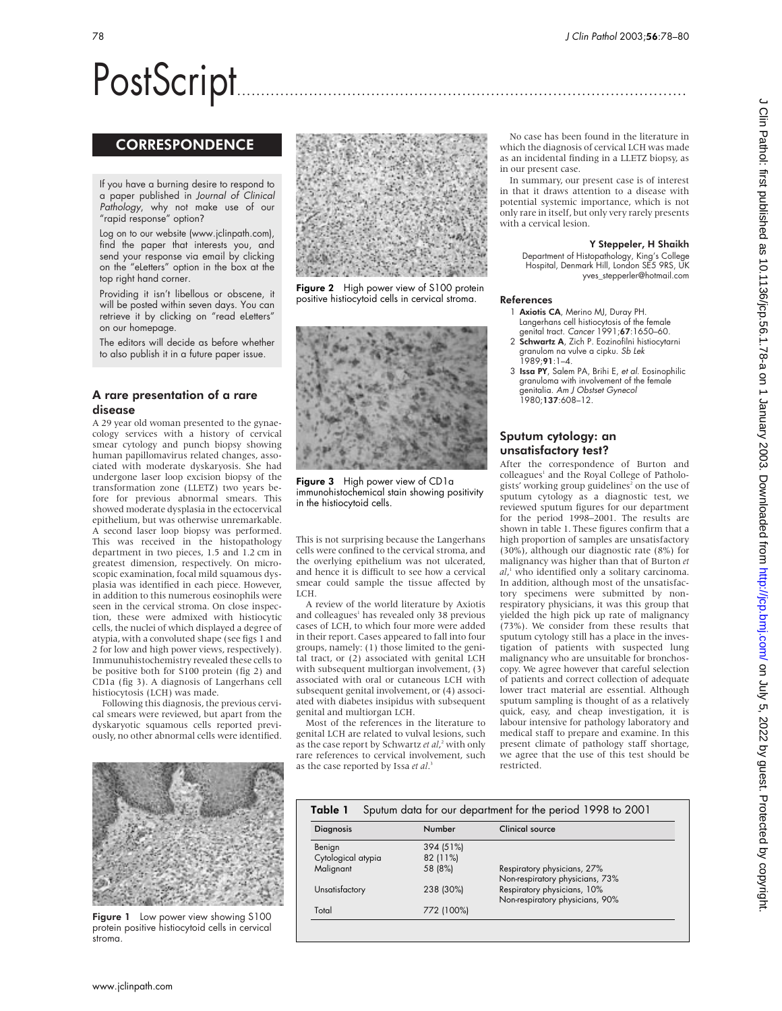# PostScript..............................................................................................

# **CORRESPONDENCE**

If you have a burning desire to respond to a paper published in Journal of Clinical Pathology, why not make use of our "rapid response" option?

Log on to our website (www.jclinpath.com), find the paper that interests you, and send your response via email by clicking on the "eLetters" option in the box at the top right hand corner.

Providing it isn't libellous or obscene, it will be posted within seven days. You can retrieve it by clicking on "read eLetters" on our homepage.

The editors will decide as before whether to also publish it in a future paper issue.

# A rare presentation of a rare disease

A 29 year old woman presented to the gynaecology services with a history of cervical smear cytology and punch biopsy showing human papillomavirus related changes, associated with moderate dyskaryosis. She had undergone laser loop excision biopsy of the transformation zone (LLETZ) two years before for previous abnormal smears. This showed moderate dysplasia in the ectocervical epithelium, but was otherwise unremarkable. A second laser loop biopsy was performed. This was received in the histopathology department in two pieces, 1.5 and 1.2 cm in greatest dimension, respectively. On microscopic examination, focal mild squamous dysplasia was identified in each piece. However, in addition to this numerous eosinophils were seen in the cervical stroma. On close inspection, these were admixed with histiocytic cells, the nuclei of which displayed a degree of atypia, with a convoluted shape (see figs 1 and 2 for low and high power views, respectively). Immunuhistochemistry revealed these cells to be positive both for S100 protein (fig 2) and CD1a (fig 3). A diagnosis of Langerhans cell histiocytosis (LCH) was made.

Following this diagnosis, the previous cervical smears were reviewed, but apart from the dyskaryotic squamous cells reported previously, no other abnormal cells were identified.



Figure 1 Low power view showing S100 protein positive histiocytoid cells in cervical stroma.



Figure 2 High power view of S100 protein positive histiocytoid cells in cervical stroma.



Figure 3 High power view of CD1a immunohistochemical stain showing positivity in the histiocytoid cells.

This is not surprising because the Langerhans cells were confined to the cervical stroma, and the overlying epithelium was not ulcerated, and hence it is difficult to see how a cervical smear could sample the tissue affected by LCH.

A review of the world literature by Axiotis and colleagues<sup>1</sup> has revealed only 38 previous cases of LCH, to which four more were added in their report. Cases appeared to fall into four groups, namely: (1) those limited to the genital tract, or (2) associated with genital LCH with subsequent multiorgan involvement, (3) associated with oral or cutaneous LCH with subsequent genital involvement, or (4) associated with diabetes insipidus with subsequent genital and multiorgan LCH.

Most of the references in the literature to genital LCH are related to vulval lesions, such as the case report by Schwartz *et al*, <sup>2</sup> with only rare references to cervical involvement, such as the case reported by Issa *et al*. 3

No case has been found in the literature in which the diagnosis of cervical LCH was made as an incidental finding in a LLETZ biopsy, as in our present case.

In summary, our present case is of interest in that it draws attention to a disease with potential systemic importance, which is not only rare in itself, but only very rarely presents with a cervical lesion.

#### Y Steppeler, H Shaikh

Department of Histopathology, King's College Hospital, Denmark Hill, London SE5 9RS, UK yves\_stepperler@hotmail.com

#### References

- 1 Axiotis CA, Merino MJ, Duray PH. Langerhans cell histiocytosis of the female
- genital tract. *Cancer* 1991;**67**:1650–60.<br>2 **Schwartz A**, Zich P. Eozinofilni histiocytarni granulom na vulve a cipku. Sb Lek  $1989:91:1-4.$
- 3 Issa PY, Salem PA, Brihi E, et al. Eosinophilic granuloma with involvement of the female enitalia. Am J Obstset Gynecol 1980;137:608–12.

# Sputum cytology: an unsatisfactory test?

After the correspondence of Burton and colleagues<sup>1</sup> and the Royal College of Pathologists' working group guidelines<sup>2</sup> on the use of sputum cytology as a diagnostic test, we reviewed sputum figures for our department for the period 1998–2001. The results are shown in table 1. These figures confirm that a high proportion of samples are unsatisfactory (30%), although our diagnostic rate (8%) for malignancy was higher than that of Burton *et al*, <sup>1</sup> who identified only a solitary carcinoma. In addition, although most of the unsatisfactory specimens were submitted by nonrespiratory physicians, it was this group that yielded the high pick up rate of malignancy (73%). We consider from these results that sputum cytology still has a place in the investigation of patients with suspected lung malignancy who are unsuitable for bronchoscopy. We agree however that careful selection of patients and correct collection of adequate lower tract material are essential. Although sputum sampling is thought of as a relatively quick, easy, and cheap investigation, it is labour intensive for pathology laboratory and medical staff to prepare and examine. In this present climate of pathology staff shortage, we agree that the use of this test should be restricted.

| Sputum data for our department for the period 1998 to 2001<br>Table 1 |  |                                  |                                                                                                   |
|-----------------------------------------------------------------------|--|----------------------------------|---------------------------------------------------------------------------------------------------|
| <b>Diagnosis</b>                                                      |  | Number                           | <b>Clinical source</b>                                                                            |
| Benign<br>Cytological atypia<br>Malignant                             |  | 394 (51%)<br>82 (11%)<br>58 (8%) | Respiratory physicians, 27%                                                                       |
| Unsatisfactory                                                        |  | 238 (30%)                        | Non-respiratory physicians, 73%<br>Respiratory physicians, 10%<br>Non-respiratory physicians, 90% |
| Total                                                                 |  | 772 (100%)                       |                                                                                                   |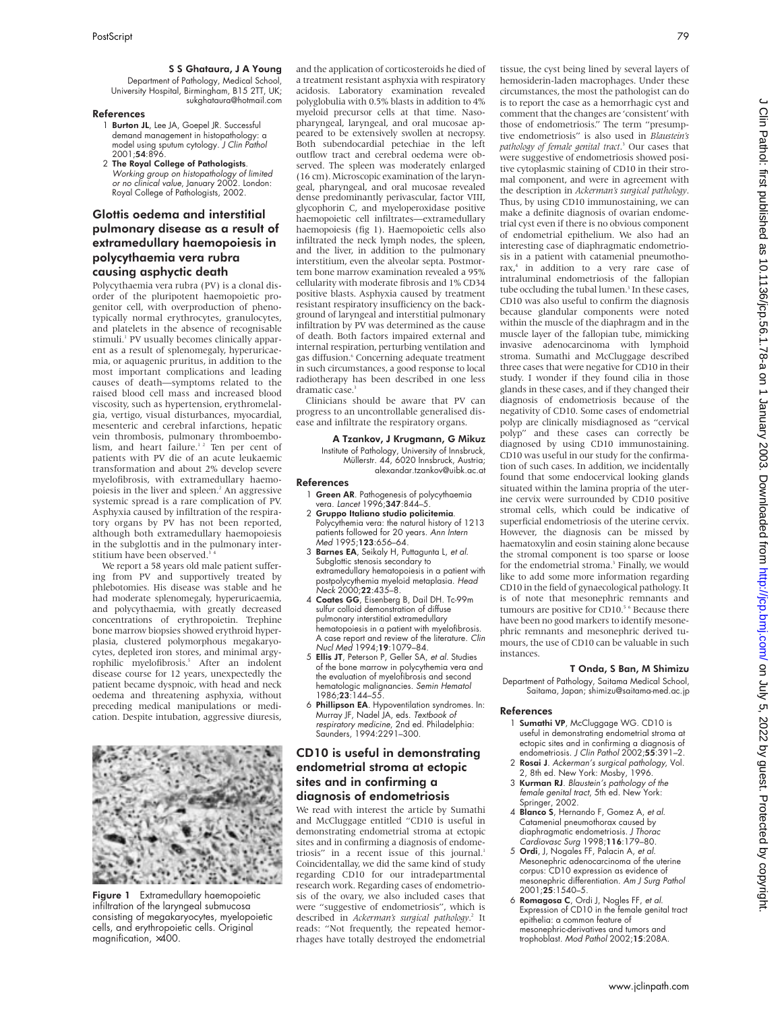## S S Ghataura, J A Young

Department of Pathology, Medical School, University Hospital, Birmingham, B15 2TT, UK; sukghataura@hotmail.com

#### References

- 1 **Burton JL**, Lee JA, Goepel JR. Successful demand management in histopathology: a model using sputum cytology. J Clin Pathol 2001;54:896.
- 2 The Royal College of Pathologists. Working group on histopathology of limited or no clinical value, January 2002. London: Royal College of Pathologists, 2002.

# Glottis oedema and interstitial pulmonary disease as a result of extramedullary haemopoiesis in polycythaemia vera rubra causing asphyctic death

Polycythaemia vera rubra (PV) is a clonal disorder of the pluripotent haemopoietic progenitor cell, with overproduction of phenotypically normal erythrocytes, granulocytes, and platelets in the absence of recognisable stimuli.<sup>1</sup> PV usually becomes clinically apparent as a result of splenomegaly, hyperuricaemia, or aquagenic pruritus, in addition to the most important complications and leading causes of death—symptoms related to the raised blood cell mass and increased blood viscosity, such as hypertension, erythromelalgia, vertigo, visual disturbances, myocardial, mesenteric and cerebral infarctions, hepatic vein thrombosis, pulmonary thromboembolism, and heart failure.<sup>12</sup> Ten per cent of patients with PV die of an acute leukaemic transformation and about 2% develop severe myelofibrosis, with extramedullary haemopoiesis in the liver and spleen.<sup>2</sup> An aggressive systemic spread is a rare complication of PV. Asphyxia caused by infiltration of the respiratory organs by PV has not been reported, although both extramedullary haemopoiesis in the subglottis and in the pulmonary interstitium have been observed.<sup>3</sup>

We report a 58 years old male patient suffering from PV and supportively treated by phlebotomies. His disease was stable and he had moderate splenomegaly, hyperuricaemia, and polycythaemia, with greatly decreased concentrations of erythropoietin. Trephine bone marrow biopsies showed erythroid hyperplasia, clustered polymorphous megakaryocytes, depleted iron stores, and minimal argyrophilic myelofibrosis.<sup>5</sup> After an indolent disease course for 12 years, unexpectedly the patient became dyspnoic, with head and neck oedema and threatening asphyxia, without preceding medical manipulations or medication. Despite intubation, aggressive diuresis,



Figure 1 Extramedullary haemopoietic infiltration of the laryngeal submucosa consisting of megakaryocytes, myelopoietic cells, and erythropoietic cells. Original magnification, ×400.

and the application of corticosteroids he died of a treatment resistant asphyxia with respiratory acidosis. Laboratory examination revealed polyglobulia with 0.5% blasts in addition to 4% myeloid precursor cells at that time. Nasopharyngeal, laryngeal, and oral mucosae appeared to be extensively swollen at necropsy. Both subendocardial petechiae in the left outflow tract and cerebral oedema were observed. The spleen was moderately enlarged (16 cm).Microscopic examination of the laryngeal, pharyngeal, and oral mucosae revealed dense predominantly perivascular, factor VIII, glycophorin C, and myeloperoxidase positive haemopoietic cell infiltrates—extramedullary haemopoiesis (fig 1). Haemopoietic cells also infiltrated the neck lymph nodes, the spleen, and the liver, in addition to the pulmonary interstitium, even the alveolar septa. Postmortem bone marrow examination revealed a 95% cellularity with moderate fibrosis and 1% CD34 positive blasts. Asphyxia caused by treatment resistant respiratory insufficiency on the background of laryngeal and interstitial pulmonary infiltration by PV was determined as the cause of death. Both factors impaired external and internal respiration, perturbing ventilation and gas diffusion.<sup>6</sup> Concerning adequate treatment in such circumstances, a good response to local radiotherapy has been described in one less dramatic case.<sup>3</sup>

Clinicians should be aware that PV can progress to an uncontrollable generalised disease and infiltrate the respiratory organs.

## A Tzankov, J Krugmann, G Mikuz

Institute of Pathology, University of Innsbruck, Müllerstr. 44, 6020 Innsbruck, Austria; alexandar.tzankov@uibk.ac.at

#### References

- 1 Green AR. Pathogenesis of polycythaemia vera. *Lancet* 1996;**347**:844–5
- 2 Gruppo Italiano studio policitemia. Polycythemia vera: the natural history of 1213 patients followed for 20 years. Ann Intern Med 1995;123:656–64.
- 3 Barnes EA, Seikaly H, Puttagunta L, et al. Subglottic stenosis secondary to extramedullary hematopoiesis in a patient with postpolycythemia myeloid metaplasia. Head Neck 2000;22:435–8.
- 4 Coates GG, Eisenberg B, Dail DH. Tc-99m sulfur colloid demonstration of diffuse pulmonary interstitial extramedullary hematopoiesis in a patient with myelofibrosis. A case report and review of the literature. Clin Nucl Med 1994;19:1079–84.
- 5 Ellis JT, Peterson P, Geller SA, et al. Studies of the bone marrow in polycythemia vera and the evaluation of myelofibrosis and second hematologic malignancies. Semin Hematol 1986;23:144–55.
- 6 Phillipson EA. Hypoventilation syndromes. In: Murray JF, Nadel JA, eds. Textbook of respiratory medicine, 2nd ed. Philadelphia: Saunders, 1994:2291–300.

# CD10 is useful in demonstrating endometrial stroma at ectopic sites and in confirming a diagnosis of endometriosis

We read with interest the article by Sumathi and McCluggage entitled "CD10 is useful in demonstrating endometrial stroma at ectopic sites and in confirming a diagnosis of endometriosis" in a recent issue of this journal.<sup>1</sup> Coincidentallay, we did the same kind of study regarding CD10 for our intradepartmental research work. Regarding cases of endometriosis of the ovary, we also included cases that were "suggestive of endometriosis", which is described in *Ackerman's surgical pathology*. <sup>2</sup> It reads: "Not frequently, the repeated hemorrhages have totally destroyed the endometrial tissue, the cyst being lined by several layers of hemosiderin-laden macrophages. Under these circumstances, the most the pathologist can do is to report the case as a hemorrhagic cyst and comment that the changes are 'consistent' with those of endometriosis." The term "presumptive endometriosis" is also used in *Blaustein's pathology of female genital tract*. <sup>3</sup> Our cases that were suggestive of endometriosis showed positive cytoplasmic staining of CD10 in their stromal component, and were in agreement with the description in *Ackerman's surgical pathology*. Thus, by using CD10 immunostaining, we can make a definite diagnosis of ovarian endometrial cyst even if there is no obvious component of endometrial epithelium. We also had an interesting case of diaphragmatic endometriosis in a patient with catamenial pneumothorax,<sup>4</sup> in addition to a very rare case of intraluminal endometriosis of the fallopian tube occluding the tubal lumen.<sup>3</sup> In these cases, CD10 was also useful to confirm the diagnosis because glandular components were noted within the muscle of the diaphragm and in the muscle layer of the fallopian tube, mimicking invasive adenocarcinoma with lymphoid stroma. Sumathi and McCluggage described three cases that were negative for CD10 in their study. I wonder if they found cilia in those glands in these cases, and if they changed their diagnosis of endometriosis because of the negativity of CD10. Some cases of endometrial polyp are clinically misdiagnosed as "cervical polyp" and these cases can correctly be diagnosed by using CD10 immunostaining. CD10 was useful in our study for the confirmation of such cases. In addition, we incidentally found that some endocervical looking glands situated within the lamina propria of the uterine cervix were surrounded by CD10 positive stromal cells, which could be indicative of superficial endometriosis of the uterine cervix. However, the diagnosis can be missed by haematoxylin and eosin staining alone because the stromal component is too sparse or loose for the endometrial stroma.<sup>3</sup> Finally, we would like to add some more information regarding CD10 in the field of gynaecological pathology. It is of note that mesonephric remnants and tumours are positive for CD10.<sup>5 6</sup> Because there have been no good markers to identify mesonephric remnants and mesonephric derived tumours, the use of CD10 can be valuable in such instances.

#### T Onda, S Ban, M Shimizu

Department of Pathology, Saitama Medical School, Saitama, Japan; shimizu@saitama-med.ac.jp

#### References

- 1 Sumathi VP, McCluggage WG. CD10 is useful in demonstrating endometrial stroma at ectopic sites and in confirming a diagnosis of endometriosis. J Clin Pathol 2002;55:391–2.
- 2 Rosai J. Ackerman's surgical pathology, Vol. 2, 8th ed. New York: Mosby, 1996.
- 3 Kurman RJ. Blaustein's pathology of the female genital tract, 5th ed. New York: Springer, 2002.
- 4 **Blanco S**, Hernando F, Gomez A, et al. Catamenial pneumothorax caused by diaphragmatic endometriosis. J Thorac Cardiovasc Surg 1998;116:179–80.
- 5 Ordi, J, Nogales FF, Palacin A, et al. Mesonephric adenocarcinoma of the uterine corpus: CD10 expression as evidence of mesonephric differentiation. Am J Surg Pathol 2001;25:1540–5.
- 6 Romagosa C, Ordi J, Nogles FF, et al. Expression of CD10 in the female genital tract epithelia: a common feature of mesonephric-derivatives and tumors and trophoblast. Mod Pathol 2002;15:208A.